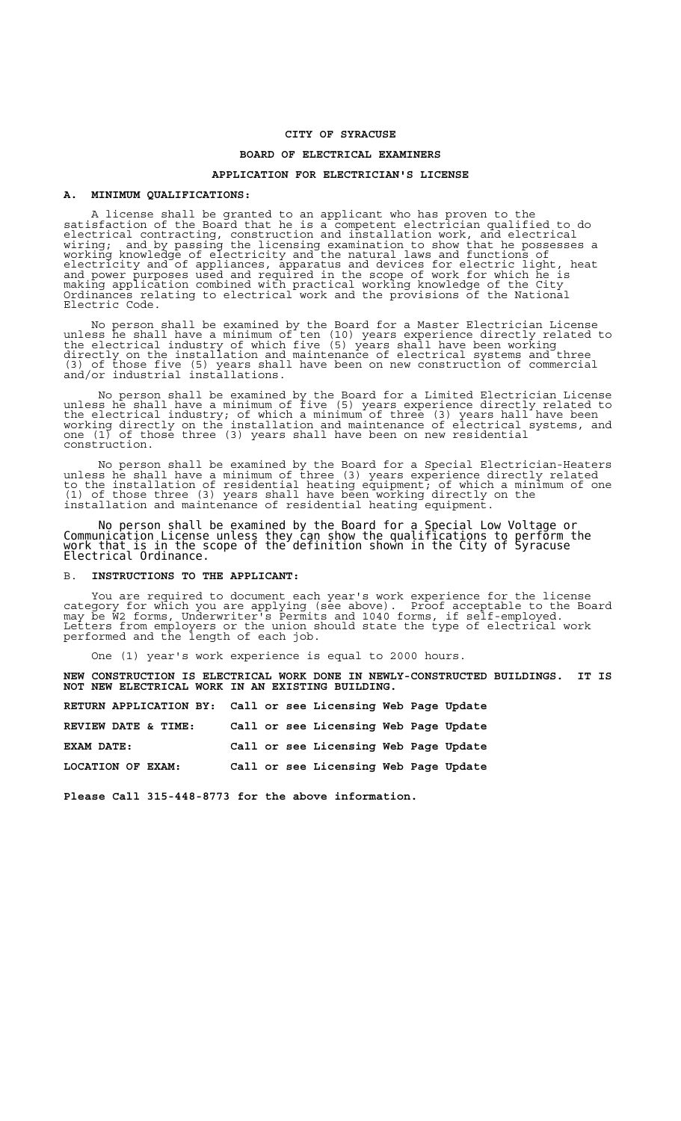# **CITY OF SYRACUSE**

### **BOARD OF ELECTRICAL EXAMINERS**

# **APPLICATION FOR ELECTRICIAN'S LICENSE**

#### **A. MINIMUM QUALIFICATIONS:**

A license shall be granted to an applicant who has proven to the satisfaction of the Board that he is a competent electrician qualified to do electrical contracting, construction and installation work, and electrical wiring; and by passing the licensing examination to show that he possesses a working knowledge of electricity and the natural laws and functions of electricity and of appliances, apparatus and devices for electric light, heat and power purposes used and required in the scope of work for which he is making application combined with practical working knowledge of the City Ordinances relating to electrical work and the provisions of the National Electric Code.

 No person shall be examined by the Board for a Master Electrician License unless he shall have a minimum of ten (10) years experience directly related to the electrical industry of which five (5) years shall have been working directly on the installation and maintenance of electrical systems and three (3) of those five (5) years shall have been on new construction of commercial and/or industrial installations.

 No person shall be examined by the Board for a Limited Electrician License unless he shall have a minimum of five (5) years experience directly related to the electrical industry; of which a minimum of three (3) years hall have been working directly on the installation and maintenance of electrical systems, and one (1) of those three (3) years shall have been on new residential construction.

 No person shall be examined by the Board for a Special Electrician-Heaters unless he shall have a minimum of three (3) years experience directly related to the installation of residential heating equipment; of which a minimum of one (1) of those three (3) years shall have been working directly on the installation and maintenance of residential heating equipment.

 No person shall be examined by the Board for a Special Low Voltage or Communication License unless they can show the qualifications to perform the work that is in the scope of the definition shown in the City of Syracuse Electrical Ordinance.

#### B. **INSTRUCTIONS TO THE APPLICANT:**

 You are required to document each year's work experience for the license category for which you are applying (see above). Proof acceptable to the Board may be W2 forms, Underwriter's Permits and 1040 forms, if self-employed. Letters from employers or the union should state the type of electrical work performed and the length of each job.

One (1) year's work experience is equal to 2000 hours.

**NEW CONSTRUCTION IS ELECTRICAL WORK DONE IN NEWLY-CONSTRUCTED BUILDINGS. IT IS NOT NEW ELECTRICAL WORK IN AN EXISTING BUILDING.** 

| RETURN APPLICATION BY: Call or see Licensing Web Page Update |  |                                       |  |  |
|--------------------------------------------------------------|--|---------------------------------------|--|--|
| REVIEW DATE & TIME:                                          |  | Call or see Licensing Web Page Update |  |  |
| EXAM DATE:                                                   |  | Call or see Licensing Web Page Update |  |  |
| LOCATION OF EXAM:                                            |  | Call or see Licensing Web Page Update |  |  |

**Please Call 315-448-8773 for the above information.**